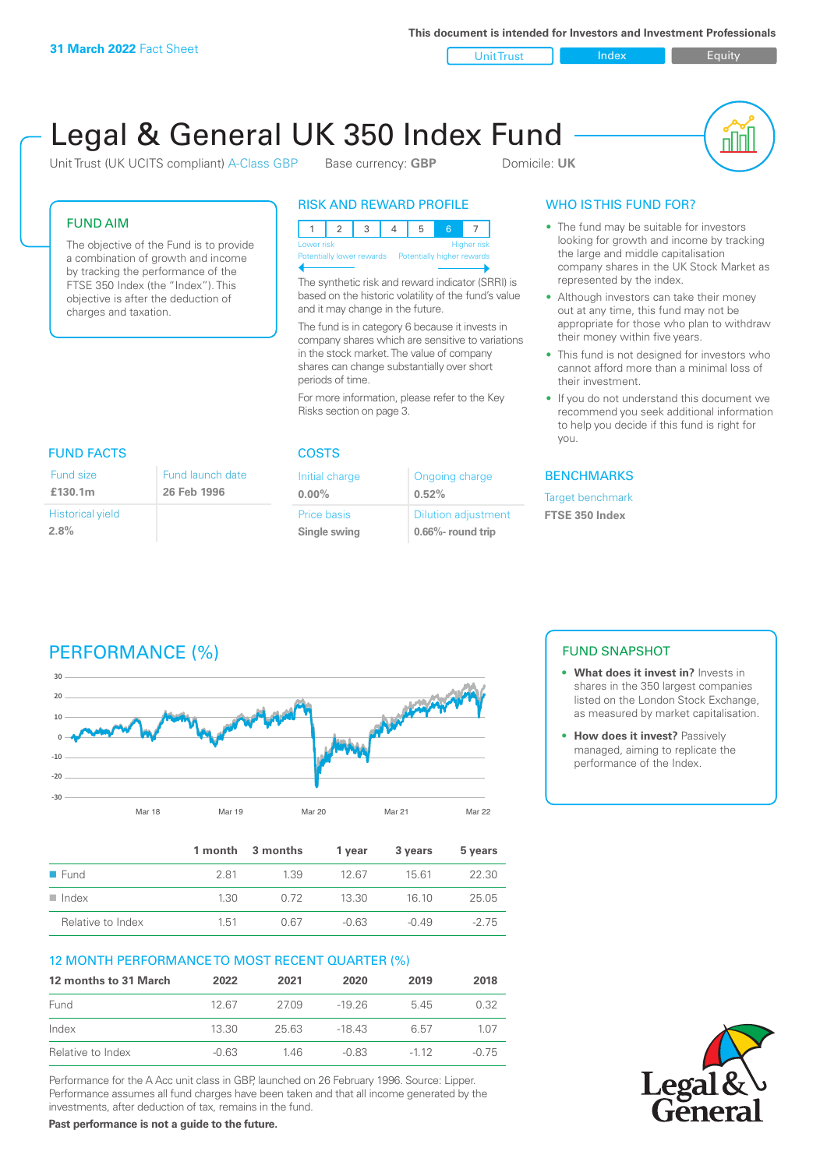**This document is intended for Investors and Investment Professionals**

Unit Trust Index I Equity

# Legal & General UK 350 Index Fund

Unit Trust (UK UCITS compliant) A-Class GBP Base currency: **GBP** Domicile: UK



#### FUND AIM

The objective of the Fund is to provide a combination of growth and income by tracking the performance of the FTSE 350 Index (the "Index"). This objective is after the deduction of charges and taxation.

#### RISK AND REWARD PROFILE

| Lower risk                                            |  |  |  | Higher risk |
|-------------------------------------------------------|--|--|--|-------------|
| Potentially lower rewards  Potentially higher rewards |  |  |  |             |
|                                                       |  |  |  |             |

The synthetic risk and reward indicator (SRRI) is based on the historic volatility of the fund's value and it may change in the future.

The fund is in category 6 because it invests in company shares which are sensitive to variations in the stock market. The value of company shares can change substantially over short periods of time.

For more information, please refer to the Key Risks section on page 3.

| <b>FUND FACTS</b>               |                                 |
|---------------------------------|---------------------------------|
| Fund size<br>£130.1m            | Fund launch date<br>26 Feb 1996 |
| <b>Historical yield</b><br>2.8% |                                 |

#### COSTS

| Initial charge     | Ongoing charge             |
|--------------------|----------------------------|
| $0.00\%$           | 0.52%                      |
| <b>Price basis</b> | <b>Dilution adjustment</b> |
| Single swing       | 0.66%- round trip          |

#### WHO IS THIS FUND FOR?

- The fund may be suitable for investors looking for growth and income by tracking the large and middle capitalisation company shares in the UK Stock Market as represented by the index.
- Although investors can take their money out at any time, this fund may not be appropriate for those who plan to withdraw their money within five years.
- This fund is not designed for investors who cannot afford more than a minimal loss of their investment.
- If you do not understand this document we recommend you seek additional information to help you decide if this fund is right for you.

#### **BENCHMARKS**

Target benchmark **FTSE 350 Index**

# PERFORMANCE (%)



|                      |      | 1 month 3 months | 1 vear  | 3 years | 5 years |
|----------------------|------|------------------|---------|---------|---------|
| $\blacksquare$ Fund  | 281  | 1.39             | 1267    | 15 61   | 22.30   |
| $\blacksquare$ Index | 1.30 | 0.72             | 13.30   | 16.10   | 25.05   |
| Relative to Index    | 1.51 | 0.67             | $-0.63$ | -0.49   | $-275$  |

#### 12 MONTH PERFORMANCE TO MOST RECENT QUARTER (%)

| 12 months to 31 March | 2022    | 2021  | 2020    | 2019   | 2018  |
|-----------------------|---------|-------|---------|--------|-------|
| Fund                  | 12.67   | 2709  | $-1926$ | 545    | 0.32  |
| Index                 | 13.30   | 25.63 | -18 43  | 6.57   | 1 0 7 |
| Relative to Index     | $-0.63$ | 146   | $-0.83$ | $-112$ | -0.75 |

Performance for the A Acc unit class in GBP, launched on 26 February 1996. Source: Lipper. Performance assumes all fund charges have been taken and that all income generated by the investments, after deduction of tax, remains in the fund.

**Past performance is not a guide to the future.**

### FUND SNAPSHOT

- **• What does it invest in?** Invests in shares in the 350 largest companies listed on the London Stock Exchange, as measured by market capitalisation.
- **• How does it invest?** Passively managed, aiming to replicate the performance of the Index.

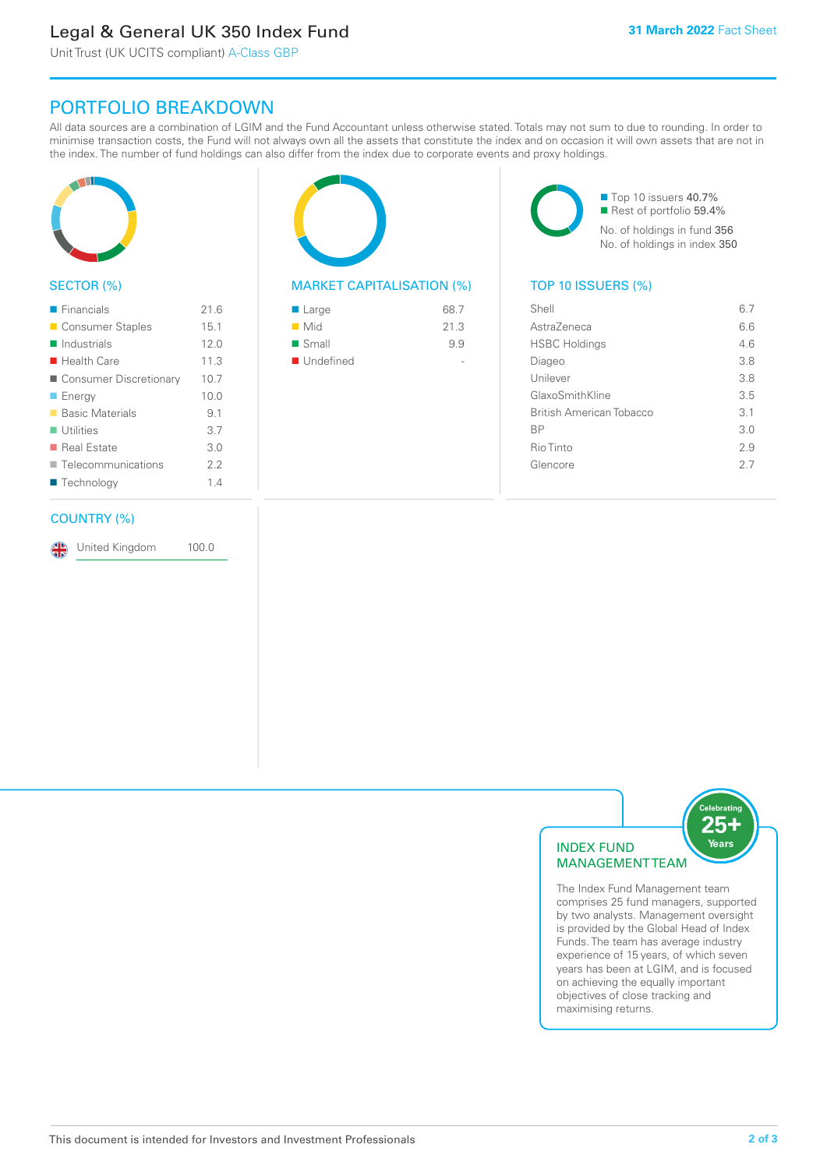# Legal & General UK 350 Index Fund

Unit Trust (UK UCITS compliant) A-Class GBP

## PORTFOLIO BREAKDOWN

All data sources are a combination of LGIM and the Fund Accountant unless otherwise stated. Totals may not sum to due to rounding. In order to minimise transaction costs, the Fund will not always own all the assets that constitute the index and on occasion it will own assets that are not in the index. The number of fund holdings can also differ from the index due to corporate events and proxy holdings.



#### SECTOR (%)

| $\blacksquare$ Financials  | 21.6 |
|----------------------------|------|
| ■ Consumer Staples         | 15.1 |
| $\blacksquare$ Industrials | 12.0 |
| $\blacksquare$ Health Care | 11.3 |
| ■ Consumer Discretionary   | 10.7 |
| $\blacksquare$ Energy      | 10.0 |
| ■ Basic Materials          | 9.1  |
| $\blacksquare$ Utilities   | 3.7  |
| ■ Real Estate              | 3.0  |
| Telecommunications         | 2.2  |
| ■ Technology               | 1.4  |
|                            |      |

#### COUNTRY (%)

United Kingdom 100.0

#### MARKET CAPITALISATION (%) TOP 10 ISSUERS (%)

| ■ Large            | 68.7 |
|--------------------|------|
| $\blacksquare$ Mid | 21.3 |
| ■ Small            | 9.9  |
| ■ Undefined        |      |

■ Top 10 issuers 40.7% ■ Rest of portfolio 59.4% No. of holdings in fund 356 No. of holdings in index 350

| Shell                    | 67  |
|--------------------------|-----|
| AstraZeneca              | 66  |
| <b>HSBC Holdings</b>     | 46  |
| Diageo                   | 38  |
| Unilever                 | 3.8 |
| GlaxoSmithKline          | 3.5 |
| British American Tobacco | 3.1 |
| <b>BP</b>                | 3.0 |
| Rio Tinto                | 2.9 |
| Glencore                 | 27  |
|                          |     |



The Index Fund Management team comprises 25 fund managers, supported by two analysts. Management oversight is provided by the Global Head of Index Funds. The team has average industry experience of 15 years, of which seven years has been at LGIM, and is focused on achieving the equally important objectives of close tracking and maximising returns.